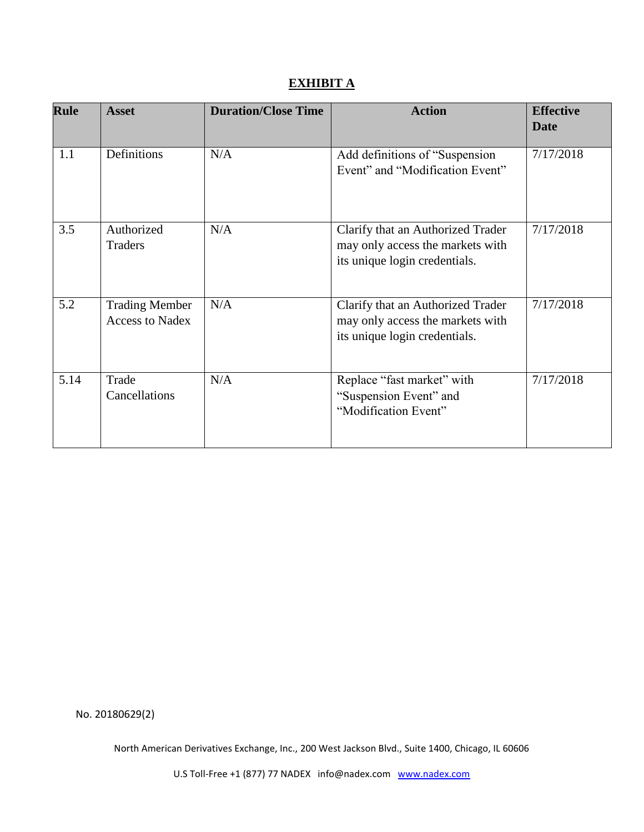# **EXHIBIT A**

| <b>Rule</b> | <b>Asset</b>                                    | <b>Duration/Close Time</b> | <b>Action</b>                                                                                          | <b>Effective</b><br><b>Date</b> |
|-------------|-------------------------------------------------|----------------------------|--------------------------------------------------------------------------------------------------------|---------------------------------|
| 1.1         | Definitions                                     | N/A                        | Add definitions of "Suspension<br>Event" and "Modification Event"                                      | 7/17/2018                       |
| 3.5         | Authorized<br><b>Traders</b>                    | N/A                        | Clarify that an Authorized Trader<br>may only access the markets with<br>its unique login credentials. | 7/17/2018                       |
| 5.2         | <b>Trading Member</b><br><b>Access to Nadex</b> | N/A                        | Clarify that an Authorized Trader<br>may only access the markets with<br>its unique login credentials. | 7/17/2018                       |
| 5.14        | Trade<br>Cancellations                          | N/A                        | Replace "fast market" with<br>"Suspension Event" and<br>"Modification Event"                           | 7/17/2018                       |

No. 20180629(2)

North American Derivatives Exchange, Inc., 200 West Jackson Blvd., Suite 1400, Chicago, IL 60606

U.S Toll-Free +1 (877) 77 NADEX info@nadex.com [www.nadex.com](http://www.nadex.com/)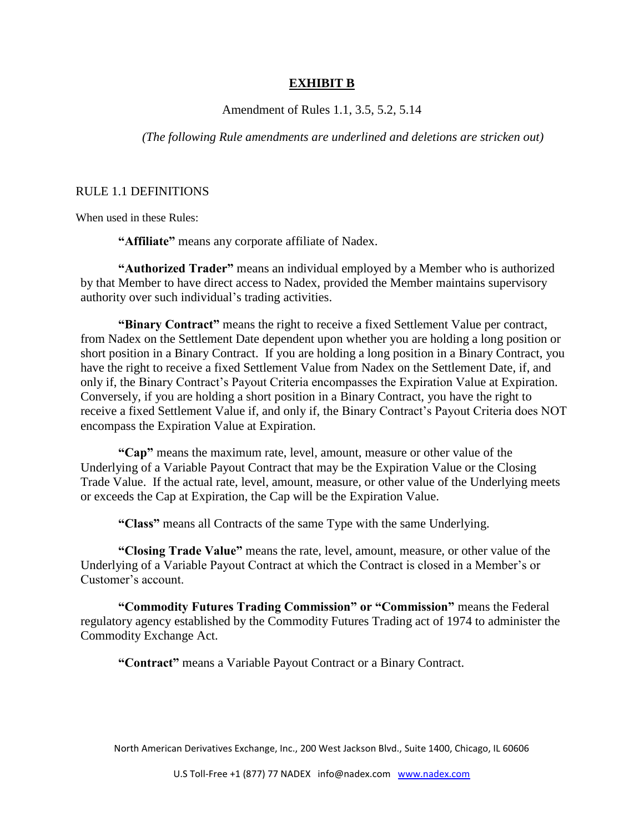#### **EXHIBIT B**

Amendment of Rules 1.1, 3.5, 5.2, 5.14

*(The following Rule amendments are underlined and deletions are stricken out)*

#### RULE 1.1 DEFINITIONS

When used in these Rules:

**"Affiliate"** means any corporate affiliate of Nadex.

**"Authorized Trader"** means an individual employed by a Member who is authorized by that Member to have direct access to Nadex, provided the Member maintains supervisory authority over such individual's trading activities.

**"Binary Contract"** means the right to receive a fixed Settlement Value per contract, from Nadex on the Settlement Date dependent upon whether you are holding a long position or short position in a Binary Contract. If you are holding a long position in a Binary Contract, you have the right to receive a fixed Settlement Value from Nadex on the Settlement Date, if, and only if, the Binary Contract's Payout Criteria encompasses the Expiration Value at Expiration. Conversely, if you are holding a short position in a Binary Contract, you have the right to receive a fixed Settlement Value if, and only if, the Binary Contract's Payout Criteria does NOT encompass the Expiration Value at Expiration.

**"Cap"** means the maximum rate, level, amount, measure or other value of the Underlying of a Variable Payout Contract that may be the Expiration Value or the Closing Trade Value. If the actual rate, level, amount, measure, or other value of the Underlying meets or exceeds the Cap at Expiration, the Cap will be the Expiration Value.

**"Class"** means all Contracts of the same Type with the same Underlying.

**"Closing Trade Value"** means the rate, level, amount, measure, or other value of the Underlying of a Variable Payout Contract at which the Contract is closed in a Member's or Customer's account.

**"Commodity Futures Trading Commission" or "Commission"** means the Federal regulatory agency established by the Commodity Futures Trading act of 1974 to administer the Commodity Exchange Act.

**"Contract"** means a Variable Payout Contract or a Binary Contract.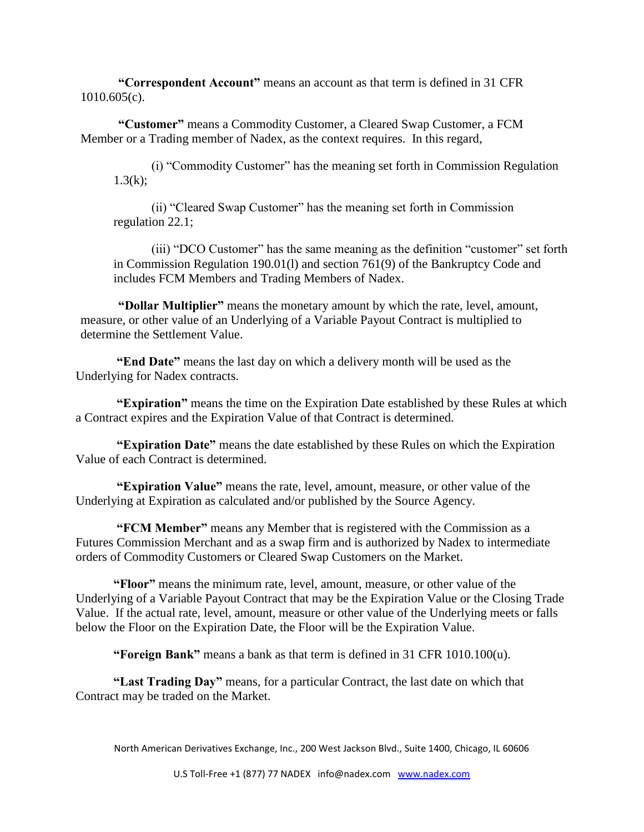**"Correspondent Account"** means an account as that term is defined in 31 CFR 1010.605(c).

**"Customer"** means a Commodity Customer, a Cleared Swap Customer, a FCM Member or a Trading member of Nadex, as the context requires. In this regard,

(i) "Commodity Customer" has the meaning set forth in Commission Regulation  $1.3(k)$ :

(ii) "Cleared Swap Customer" has the meaning set forth in Commission regulation 22.1;

(iii) "DCO Customer" has the same meaning as the definition "customer" set forth in Commission Regulation 190.01(l) and section 761(9) of the Bankruptcy Code and includes FCM Members and Trading Members of Nadex.

**"Dollar Multiplier"** means the monetary amount by which the rate, level, amount, measure, or other value of an Underlying of a Variable Payout Contract is multiplied to determine the Settlement Value.

**"End Date"** means the last day on which a delivery month will be used as the Underlying for Nadex contracts.

**"Expiration"** means the time on the Expiration Date established by these Rules at which a Contract expires and the Expiration Value of that Contract is determined.

**"Expiration Date"** means the date established by these Rules on which the Expiration Value of each Contract is determined.

**"Expiration Value"** means the rate, level, amount, measure, or other value of the Underlying at Expiration as calculated and/or published by the Source Agency.

**"FCM Member"** means any Member that is registered with the Commission as a Futures Commission Merchant and as a swap firm and is authorized by Nadex to intermediate orders of Commodity Customers or Cleared Swap Customers on the Market.

**"Floor"** means the minimum rate, level, amount, measure, or other value of the Underlying of a Variable Payout Contract that may be the Expiration Value or the Closing Trade Value. If the actual rate, level, amount, measure or other value of the Underlying meets or falls below the Floor on the Expiration Date, the Floor will be the Expiration Value.

**"Foreign Bank"** means a bank as that term is defined in 31 CFR 1010.100(u).

**"Last Trading Day"** means, for a particular Contract, the last date on which that Contract may be traded on the Market.

North American Derivatives Exchange, Inc., 200 West Jackson Blvd., Suite 1400, Chicago, IL 60606

U.S Toll-Free +1 (877) 77 NADEX info@nadex.com [www.nadex.com](http://www.nadex.com/)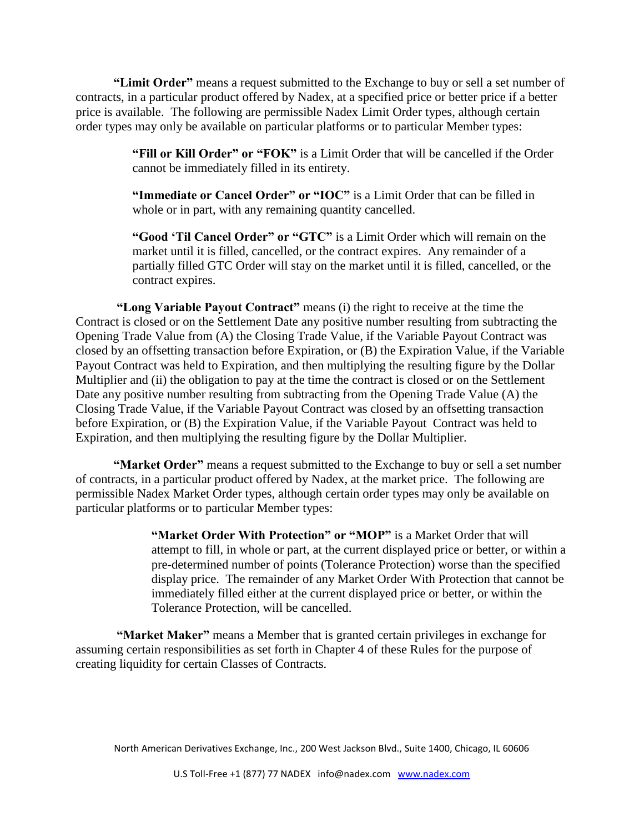**"Limit Order"** means a request submitted to the Exchange to buy or sell a set number of contracts, in a particular product offered by Nadex, at a specified price or better price if a better price is available. The following are permissible Nadex Limit Order types, although certain order types may only be available on particular platforms or to particular Member types:

> **"Fill or Kill Order" or "FOK"** is a Limit Order that will be cancelled if the Order cannot be immediately filled in its entirety.

**"Immediate or Cancel Order" or "IOC"** is a Limit Order that can be filled in whole or in part, with any remaining quantity cancelled.

**"Good 'Til Cancel Order" or "GTC"** is a Limit Order which will remain on the market until it is filled, cancelled, or the contract expires. Any remainder of a partially filled GTC Order will stay on the market until it is filled, cancelled, or the contract expires.

**"Long Variable Payout Contract"** means (i) the right to receive at the time the Contract is closed or on the Settlement Date any positive number resulting from subtracting the Opening Trade Value from (A) the Closing Trade Value, if the Variable Payout Contract was closed by an offsetting transaction before Expiration, or (B) the Expiration Value, if the Variable Payout Contract was held to Expiration, and then multiplying the resulting figure by the Dollar Multiplier and (ii) the obligation to pay at the time the contract is closed or on the Settlement Date any positive number resulting from subtracting from the Opening Trade Value (A) the Closing Trade Value, if the Variable Payout Contract was closed by an offsetting transaction before Expiration, or (B) the Expiration Value, if the Variable Payout Contract was held to Expiration, and then multiplying the resulting figure by the Dollar Multiplier.

**"Market Order"** means a request submitted to the Exchange to buy or sell a set number of contracts, in a particular product offered by Nadex, at the market price. The following are permissible Nadex Market Order types, although certain order types may only be available on particular platforms or to particular Member types:

> **"Market Order With Protection" or "MOP"** is a Market Order that will attempt to fill, in whole or part, at the current displayed price or better, or within a pre-determined number of points (Tolerance Protection) worse than the specified display price. The remainder of any Market Order With Protection that cannot be immediately filled either at the current displayed price or better, or within the Tolerance Protection, will be cancelled.

**"Market Maker"** means a Member that is granted certain privileges in exchange for assuming certain responsibilities as set forth in Chapter 4 of these Rules for the purpose of creating liquidity for certain Classes of Contracts.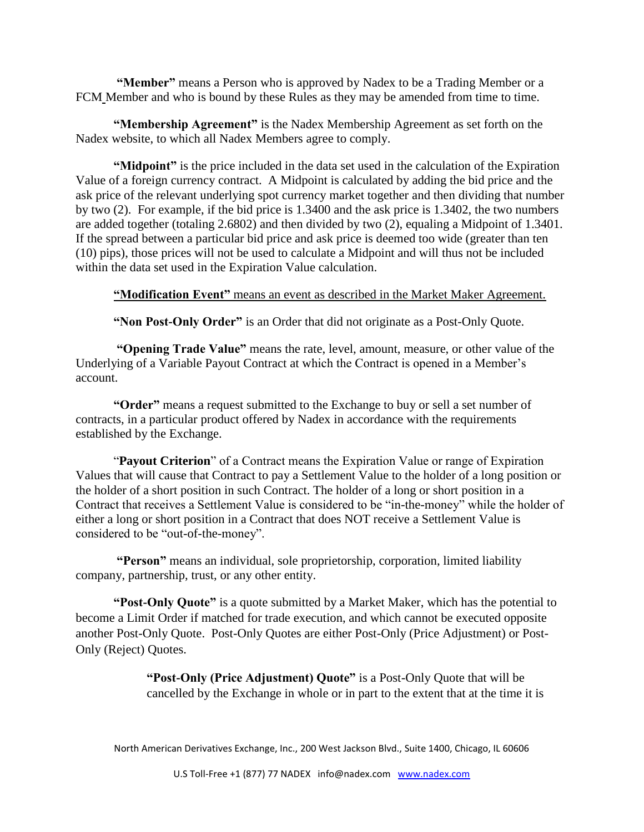**"Member"** means a Person who is approved by Nadex to be a Trading Member or a FCM Member and who is bound by these Rules as they may be amended from time to time.

**"Membership Agreement"** is the Nadex Membership Agreement as set forth on the Nadex website, to which all Nadex Members agree to comply.

**"Midpoint"** is the price included in the data set used in the calculation of the Expiration Value of a foreign currency contract. A Midpoint is calculated by adding the bid price and the ask price of the relevant underlying spot currency market together and then dividing that number by two (2). For example, if the bid price is 1.3400 and the ask price is 1.3402, the two numbers are added together (totaling 2.6802) and then divided by two (2), equaling a Midpoint of 1.3401. If the spread between a particular bid price and ask price is deemed too wide (greater than ten (10) pips), those prices will not be used to calculate a Midpoint and will thus not be included within the data set used in the Expiration Value calculation.

**"Modification Event"** means an event as described in the Market Maker Agreement.

**"Non Post-Only Order"** is an Order that did not originate as a Post-Only Quote.

**"Opening Trade Value"** means the rate, level, amount, measure, or other value of the Underlying of a Variable Payout Contract at which the Contract is opened in a Member's account.

**"Order"** means a request submitted to the Exchange to buy or sell a set number of contracts, in a particular product offered by Nadex in accordance with the requirements established by the Exchange.

"**Payout Criterion**" of a Contract means the Expiration Value or range of Expiration Values that will cause that Contract to pay a Settlement Value to the holder of a long position or the holder of a short position in such Contract. The holder of a long or short position in a Contract that receives a Settlement Value is considered to be "in-the-money" while the holder of either a long or short position in a Contract that does NOT receive a Settlement Value is considered to be "out-of-the-money".

**"Person"** means an individual, sole proprietorship, corporation, limited liability company, partnership, trust, or any other entity.

**"Post-Only Quote"** is a quote submitted by a Market Maker, which has the potential to become a Limit Order if matched for trade execution, and which cannot be executed opposite another Post-Only Quote. Post-Only Quotes are either Post-Only (Price Adjustment) or Post-Only (Reject) Quotes.

> **"Post-Only (Price Adjustment) Quote"** is a Post-Only Quote that will be cancelled by the Exchange in whole or in part to the extent that at the time it is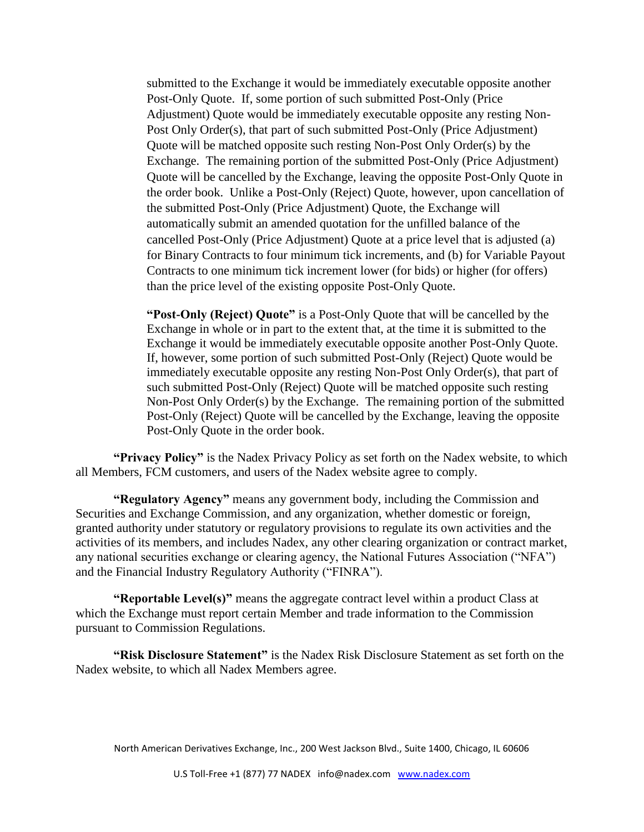submitted to the Exchange it would be immediately executable opposite another Post-Only Quote. If, some portion of such submitted Post-Only (Price Adjustment) Quote would be immediately executable opposite any resting Non-Post Only Order(s), that part of such submitted Post-Only (Price Adjustment) Quote will be matched opposite such resting Non-Post Only Order(s) by the Exchange. The remaining portion of the submitted Post-Only (Price Adjustment) Quote will be cancelled by the Exchange, leaving the opposite Post-Only Quote in the order book. Unlike a Post-Only (Reject) Quote, however, upon cancellation of the submitted Post-Only (Price Adjustment) Quote, the Exchange will automatically submit an amended quotation for the unfilled balance of the cancelled Post-Only (Price Adjustment) Quote at a price level that is adjusted (a) for Binary Contracts to four minimum tick increments, and (b) for Variable Payout Contracts to one minimum tick increment lower (for bids) or higher (for offers) than the price level of the existing opposite Post-Only Quote.

**"Post-Only (Reject) Quote"** is a Post-Only Quote that will be cancelled by the Exchange in whole or in part to the extent that, at the time it is submitted to the Exchange it would be immediately executable opposite another Post-Only Quote. If, however, some portion of such submitted Post-Only (Reject) Quote would be immediately executable opposite any resting Non-Post Only Order(s), that part of such submitted Post-Only (Reject) Quote will be matched opposite such resting Non-Post Only Order(s) by the Exchange. The remaining portion of the submitted Post-Only (Reject) Quote will be cancelled by the Exchange, leaving the opposite Post-Only Quote in the order book.

**"Privacy Policy"** is the Nadex Privacy Policy as set forth on the Nadex website, to which all Members, FCM customers, and users of the Nadex website agree to comply.

**"Regulatory Agency"** means any government body, including the Commission and Securities and Exchange Commission, and any organization, whether domestic or foreign, granted authority under statutory or regulatory provisions to regulate its own activities and the activities of its members, and includes Nadex, any other clearing organization or contract market, any national securities exchange or clearing agency, the National Futures Association ("NFA") and the Financial Industry Regulatory Authority ("FINRA").

**"Reportable Level(s)"** means the aggregate contract level within a product Class at which the Exchange must report certain Member and trade information to the Commission pursuant to Commission Regulations.

**"Risk Disclosure Statement"** is the Nadex Risk Disclosure Statement as set forth on the Nadex website, to which all Nadex Members agree.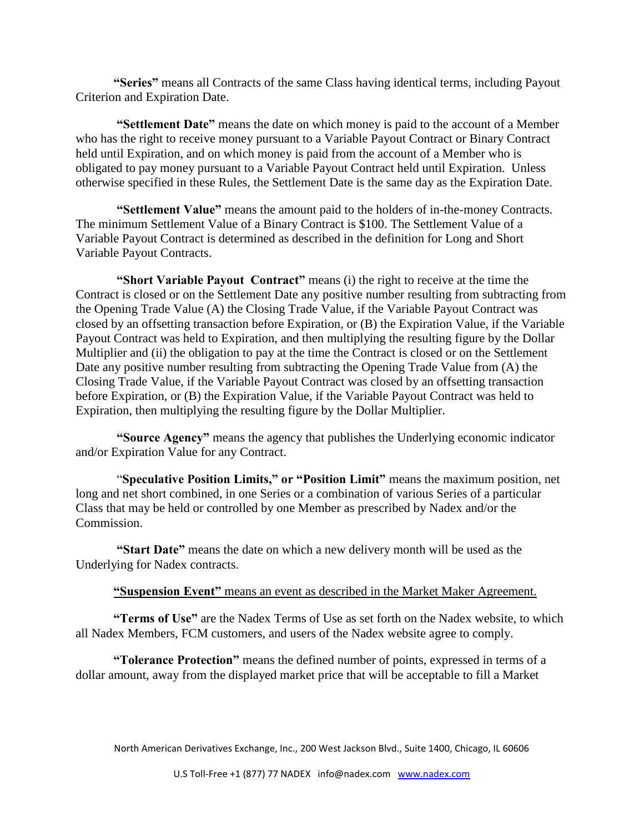**"Series"** means all Contracts of the same Class having identical terms, including Payout Criterion and Expiration Date.

**"Settlement Date"** means the date on which money is paid to the account of a Member who has the right to receive money pursuant to a Variable Payout Contract or Binary Contract held until Expiration, and on which money is paid from the account of a Member who is obligated to pay money pursuant to a Variable Payout Contract held until Expiration. Unless otherwise specified in these Rules, the Settlement Date is the same day as the Expiration Date.

**"Settlement Value"** means the amount paid to the holders of in-the-money Contracts. The minimum Settlement Value of a Binary Contract is \$100. The Settlement Value of a Variable Payout Contract is determined as described in the definition for Long and Short Variable Payout Contracts.

**"Short Variable Payout Contract"** means (i) the right to receive at the time the Contract is closed or on the Settlement Date any positive number resulting from subtracting from the Opening Trade Value (A) the Closing Trade Value, if the Variable Payout Contract was closed by an offsetting transaction before Expiration, or (B) the Expiration Value, if the Variable Payout Contract was held to Expiration, and then multiplying the resulting figure by the Dollar Multiplier and (ii) the obligation to pay at the time the Contract is closed or on the Settlement Date any positive number resulting from subtracting the Opening Trade Value from (A) the Closing Trade Value, if the Variable Payout Contract was closed by an offsetting transaction before Expiration, or (B) the Expiration Value, if the Variable Payout Contract was held to Expiration, then multiplying the resulting figure by the Dollar Multiplier.

**"Source Agency"** means the agency that publishes the Underlying economic indicator and/or Expiration Value for any Contract.

"**Speculative Position Limits," or "Position Limit"** means the maximum position, net long and net short combined, in one Series or a combination of various Series of a particular Class that may be held or controlled by one Member as prescribed by Nadex and/or the Commission.

**"Start Date"** means the date on which a new delivery month will be used as the Underlying for Nadex contracts.

#### **"Suspension Event"** means an event as described in the Market Maker Agreement.

**"Terms of Use"** are the Nadex Terms of Use as set forth on the Nadex website, to which all Nadex Members, FCM customers, and users of the Nadex website agree to comply.

**"Tolerance Protection"** means the defined number of points, expressed in terms of a dollar amount, away from the displayed market price that will be acceptable to fill a Market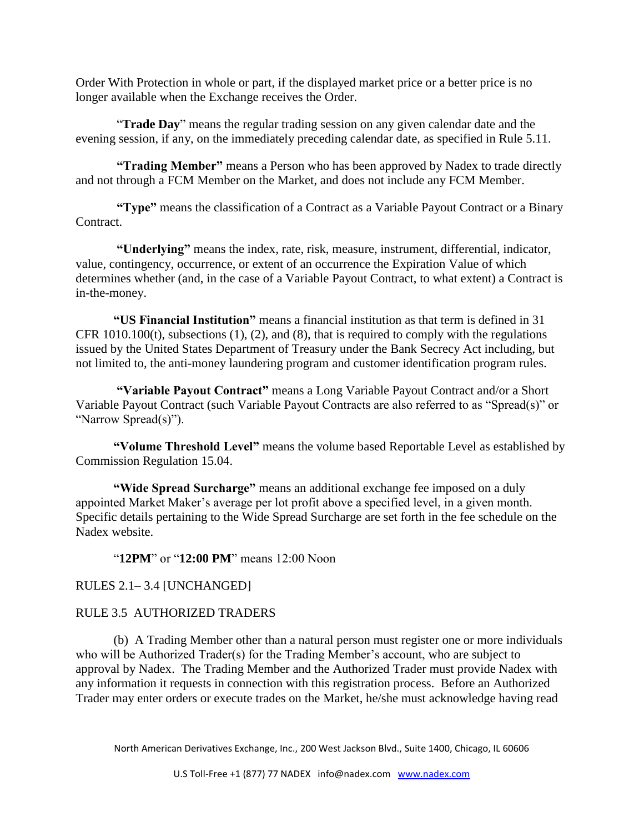Order With Protection in whole or part, if the displayed market price or a better price is no longer available when the Exchange receives the Order.

"**Trade Day**" means the regular trading session on any given calendar date and the evening session, if any, on the immediately preceding calendar date, as specified in Rule 5.11.

**"Trading Member"** means a Person who has been approved by Nadex to trade directly and not through a FCM Member on the Market, and does not include any FCM Member.

**"Type"** means the classification of a Contract as a Variable Payout Contract or a Binary Contract.

**"Underlying"** means the index, rate, risk, measure, instrument, differential, indicator, value, contingency, occurrence, or extent of an occurrence the Expiration Value of which determines whether (and, in the case of a Variable Payout Contract, to what extent) a Contract is in-the-money.

**"US Financial Institution"** means a financial institution as that term is defined in 31 CFR 1010.100(t), subsections (1), (2), and (8), that is required to comply with the regulations issued by the United States Department of Treasury under the Bank Secrecy Act including, but not limited to, the anti-money laundering program and customer identification program rules.

**"Variable Payout Contract"** means a Long Variable Payout Contract and/or a Short Variable Payout Contract (such Variable Payout Contracts are also referred to as "Spread(s)" or "Narrow Spread(s)").

**"Volume Threshold Level"** means the volume based Reportable Level as established by Commission Regulation 15.04.

**"Wide Spread Surcharge"** means an additional exchange fee imposed on a duly appointed Market Maker's average per lot profit above a specified level, in a given month. Specific details pertaining to the Wide Spread Surcharge are set forth in the fee schedule on the Nadex website.

"**12PM**" or "**12:00 PM**" means 12:00 Noon

RULES 2.1– 3.4 [UNCHANGED]

### RULE 3.5 AUTHORIZED TRADERS

(b) A Trading Member other than a natural person must register one or more individuals who will be Authorized Trader(s) for the Trading Member's account, who are subject to approval by Nadex. The Trading Member and the Authorized Trader must provide Nadex with any information it requests in connection with this registration process. Before an Authorized Trader may enter orders or execute trades on the Market, he/she must acknowledge having read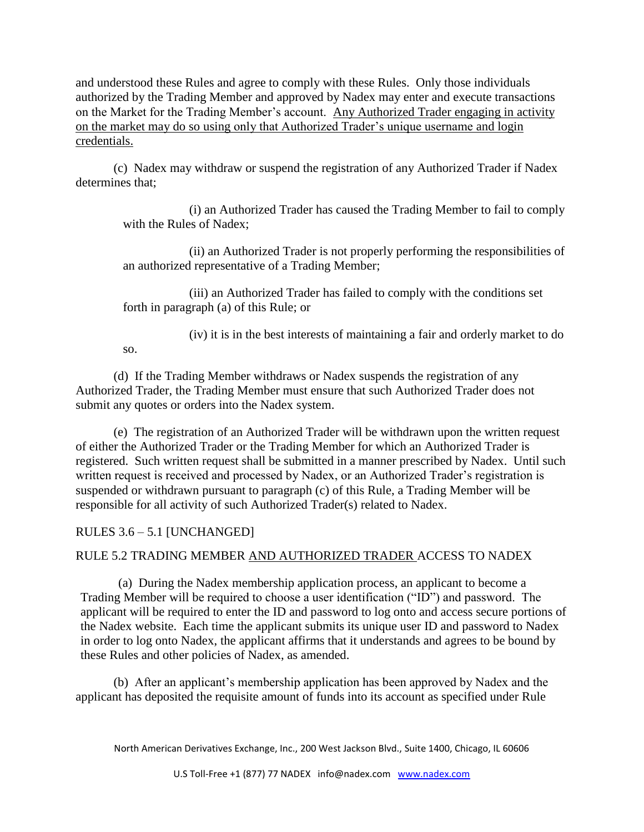and understood these Rules and agree to comply with these Rules. Only those individuals authorized by the Trading Member and approved by Nadex may enter and execute transactions on the Market for the Trading Member's account. Any Authorized Trader engaging in activity on the market may do so using only that Authorized Trader's unique username and login credentials.

(c) Nadex may withdraw or suspend the registration of any Authorized Trader if Nadex determines that;

(i) an Authorized Trader has caused the Trading Member to fail to comply with the Rules of Nadex;

(ii) an Authorized Trader is not properly performing the responsibilities of an authorized representative of a Trading Member;

(iii) an Authorized Trader has failed to comply with the conditions set forth in paragraph (a) of this Rule; or

(iv) it is in the best interests of maintaining a fair and orderly market to do

(d) If the Trading Member withdraws or Nadex suspends the registration of any Authorized Trader, the Trading Member must ensure that such Authorized Trader does not submit any quotes or orders into the Nadex system.

(e) The registration of an Authorized Trader will be withdrawn upon the written request of either the Authorized Trader or the Trading Member for which an Authorized Trader is registered. Such written request shall be submitted in a manner prescribed by Nadex. Until such written request is received and processed by Nadex, or an Authorized Trader's registration is suspended or withdrawn pursuant to paragraph (c) of this Rule, a Trading Member will be responsible for all activity of such Authorized Trader(s) related to Nadex.

RULES 3.6 – 5.1 [UNCHANGED]

so.

## RULE 5.2 TRADING MEMBER AND AUTHORIZED TRADER ACCESS TO NADEX

(a) During the Nadex membership application process, an applicant to become a Trading Member will be required to choose a user identification ("ID") and password. The applicant will be required to enter the ID and password to log onto and access secure portions of the Nadex website. Each time the applicant submits its unique user ID and password to Nadex in order to log onto Nadex, the applicant affirms that it understands and agrees to be bound by these Rules and other policies of Nadex, as amended.

(b) After an applicant's membership application has been approved by Nadex and the applicant has deposited the requisite amount of funds into its account as specified under Rule

North American Derivatives Exchange, Inc., 200 West Jackson Blvd., Suite 1400, Chicago, IL 60606

U.S Toll-Free +1 (877) 77 NADEX info@nadex.com [www.nadex.com](http://www.nadex.com/)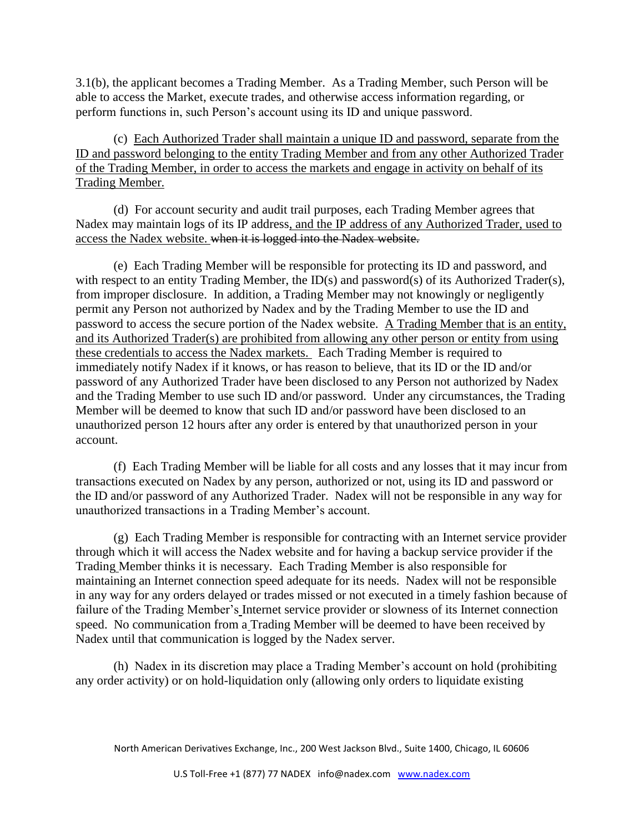3.1(b), the applicant becomes a Trading Member. As a Trading Member, such Person will be able to access the Market, execute trades, and otherwise access information regarding, or perform functions in, such Person's account using its ID and unique password.

(c) Each Authorized Trader shall maintain a unique ID and password, separate from the ID and password belonging to the entity Trading Member and from any other Authorized Trader of the Trading Member, in order to access the markets and engage in activity on behalf of its Trading Member.

(d) For account security and audit trail purposes, each Trading Member agrees that Nadex may maintain logs of its IP address, and the IP address of any Authorized Trader, used to access the Nadex website. when it is logged into the Nadex website.

(e) Each Trading Member will be responsible for protecting its ID and password, and with respect to an entity Trading Member, the ID(s) and password(s) of its Authorized Trader(s), from improper disclosure. In addition, a Trading Member may not knowingly or negligently permit any Person not authorized by Nadex and by the Trading Member to use the ID and password to access the secure portion of the Nadex website. A Trading Member that is an entity, and its Authorized Trader(s) are prohibited from allowing any other person or entity from using these credentials to access the Nadex markets. Each Trading Member is required to immediately notify Nadex if it knows, or has reason to believe, that its ID or the ID and/or password of any Authorized Trader have been disclosed to any Person not authorized by Nadex and the Trading Member to use such ID and/or password. Under any circumstances, the Trading Member will be deemed to know that such ID and/or password have been disclosed to an unauthorized person 12 hours after any order is entered by that unauthorized person in your account.

(f) Each Trading Member will be liable for all costs and any losses that it may incur from transactions executed on Nadex by any person, authorized or not, using its ID and password or the ID and/or password of any Authorized Trader. Nadex will not be responsible in any way for unauthorized transactions in a Trading Member's account.

(g) Each Trading Member is responsible for contracting with an Internet service provider through which it will access the Nadex website and for having a backup service provider if the Trading Member thinks it is necessary. Each Trading Member is also responsible for maintaining an Internet connection speed adequate for its needs. Nadex will not be responsible in any way for any orders delayed or trades missed or not executed in a timely fashion because of failure of the Trading Member's Internet service provider or slowness of its Internet connection speed. No communication from a Trading Member will be deemed to have been received by Nadex until that communication is logged by the Nadex server.

(h) Nadex in its discretion may place a Trading Member's account on hold (prohibiting any order activity) or on hold-liquidation only (allowing only orders to liquidate existing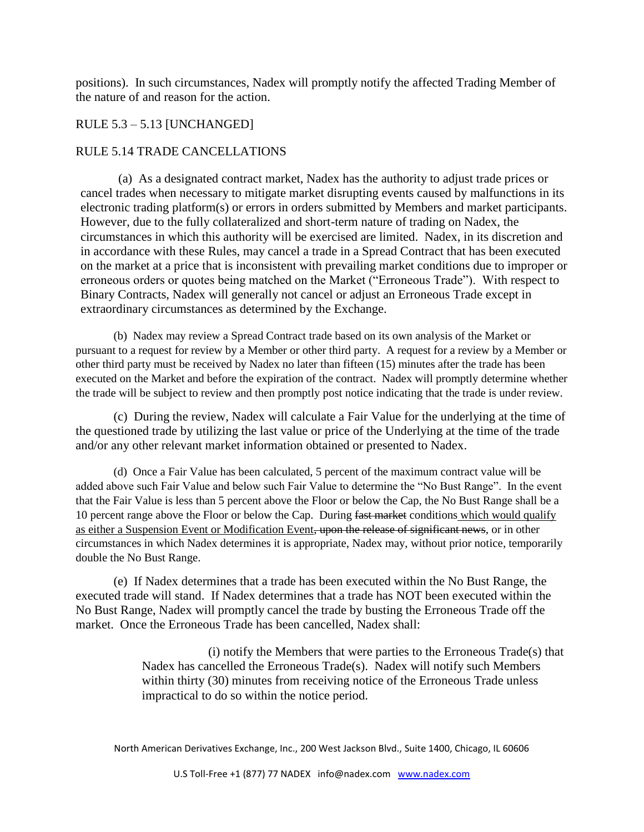positions). In such circumstances, Nadex will promptly notify the affected Trading Member of the nature of and reason for the action.

## RULE 5.3 – 5.13 [UNCHANGED]

### RULE 5.14 TRADE CANCELLATIONS

(a) As a designated contract market, Nadex has the authority to adjust trade prices or cancel trades when necessary to mitigate market disrupting events caused by malfunctions in its electronic trading platform(s) or errors in orders submitted by Members and market participants. However, due to the fully collateralized and short-term nature of trading on Nadex, the circumstances in which this authority will be exercised are limited. Nadex, in its discretion and in accordance with these Rules, may cancel a trade in a Spread Contract that has been executed on the market at a price that is inconsistent with prevailing market conditions due to improper or erroneous orders or quotes being matched on the Market ("Erroneous Trade"). With respect to Binary Contracts, Nadex will generally not cancel or adjust an Erroneous Trade except in extraordinary circumstances as determined by the Exchange.

(b) Nadex may review a Spread Contract trade based on its own analysis of the Market or pursuant to a request for review by a Member or other third party. A request for a review by a Member or other third party must be received by Nadex no later than fifteen (15) minutes after the trade has been executed on the Market and before the expiration of the contract. Nadex will promptly determine whether the trade will be subject to review and then promptly post notice indicating that the trade is under review.

(c) During the review, Nadex will calculate a Fair Value for the underlying at the time of the questioned trade by utilizing the last value or price of the Underlying at the time of the trade and/or any other relevant market information obtained or presented to Nadex.

(d) Once a Fair Value has been calculated, 5 percent of the maximum contract value will be added above such Fair Value and below such Fair Value to determine the "No Bust Range". In the event that the Fair Value is less than 5 percent above the Floor or below the Cap, the No Bust Range shall be a 10 percent range above the Floor or below the Cap. During fast market conditions which would qualify as either a Suspension Event or Modification Event, upon the release of significant news, or in other circumstances in which Nadex determines it is appropriate, Nadex may, without prior notice, temporarily double the No Bust Range.

(e) If Nadex determines that a trade has been executed within the No Bust Range, the executed trade will stand. If Nadex determines that a trade has NOT been executed within the No Bust Range, Nadex will promptly cancel the trade by busting the Erroneous Trade off the market. Once the Erroneous Trade has been cancelled, Nadex shall:

> (i) notify the Members that were parties to the Erroneous Trade(s) that Nadex has cancelled the Erroneous Trade(s). Nadex will notify such Members within thirty (30) minutes from receiving notice of the Erroneous Trade unless impractical to do so within the notice period.